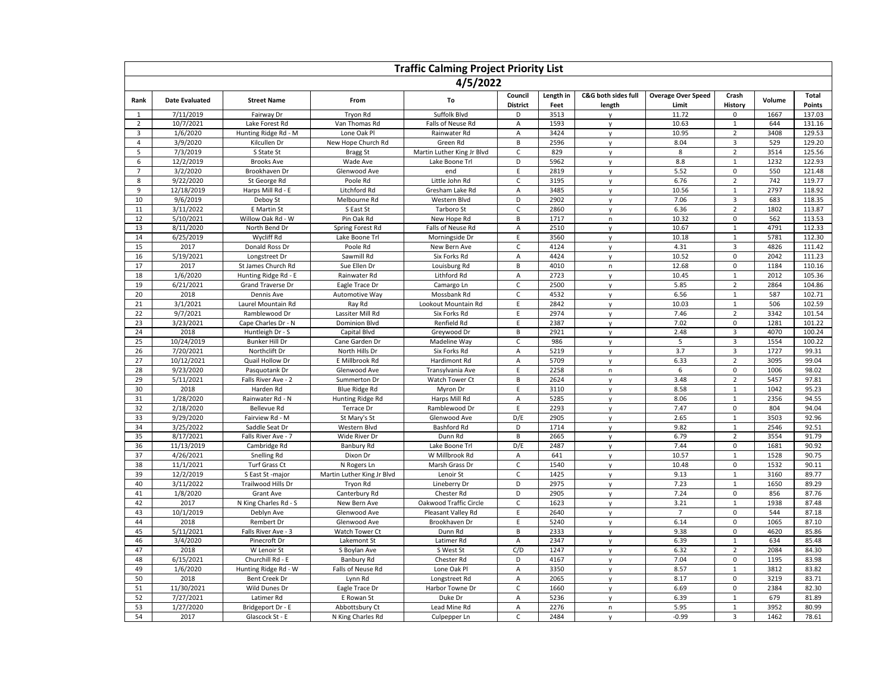| <b>Traffic Calming Project Priority List</b> |                       |                       |                            |                            |                      |              |                        |                           |                         |        |                  |
|----------------------------------------------|-----------------------|-----------------------|----------------------------|----------------------------|----------------------|--------------|------------------------|---------------------------|-------------------------|--------|------------------|
| 4/5/2022                                     |                       |                       |                            |                            |                      |              |                        |                           |                         |        |                  |
| Rank                                         | <b>Date Evaluated</b> | <b>Street Name</b>    | From                       | To                         | Council              | Length in    | C&G both sides full    | <b>Overage Over Speed</b> | Crash                   | Volume | Total            |
| $\mathbf{1}$                                 | 7/11/2019             | Fairway Dr            | Tryon Rd                   | Suffolk Blvd               | <b>District</b><br>D | Feet<br>3513 | length<br>$\mathsf{v}$ | Limit<br>11.72            | <b>History</b><br>0     | 1667   | Points<br>137.03 |
| $\overline{2}$                               | 10/7/2021             | Lake Forest Rd        | Van Thomas Rd              | Falls of Neuse Rd          | А                    | 1593         | y                      | 10.63                     | $\mathbf 1$             | 644    | 131.16           |
| $\overline{3}$                               | 1/6/2020              | Hunting Ridge Rd - M  | Lone Oak Pl                | Rainwater Rd               | A                    | 3424         | V                      | 10.95                     | $\overline{2}$          | 3408   | 129.53           |
| $\sqrt{4}$                                   | 3/9/2020              | Kilcullen Dr          | New Hope Church Rd         | Green Rd                   | $\sf B$              | 2596         | y                      | 8.04                      | $\overline{\mathbf{3}}$ | 529    | 129.20           |
| 5                                            | 7/3/2019              | S State St            | <b>Bragg St</b>            | Martin Luther King Jr Blvd | $\mathsf{C}$         | 829          | $\mathsf{v}$           | 8                         | $\overline{2}$          | 3514   | 125.56           |
| 6                                            | 12/2/2019             | <b>Brooks Ave</b>     | Wade Ave                   | Lake Boone Trl             | D                    | 5962         | y                      | 8.8                       | $\mathbf{1}$            | 1232   | 122.93           |
| $\overline{7}$                               | 3/2/2020              | Brookhaven Dr         | Glenwood Ave               | end                        | E                    | 2819         | $\mathsf{v}$           | 5.52                      | $\mathsf 0$             | 550    | 121.48           |
| 8                                            | 9/22/2020             | St George Rd          | Poole Rd                   | Little John Rd             | C                    | 3195         | y                      | 6.76                      | $\overline{2}$          | 742    | 119.77           |
| 9                                            | 12/18/2019            | Harps Mill Rd - E     | Litchford Rd               | Gresham Lake Rd            | $\overline{A}$       | 3485         | V                      | 10.56                     | $\mathbf{1}$            | 2797   | 118.92           |
| 10                                           | 9/6/2019              | Deboy St              | Melbourne Rd               | Western Blvd               | D                    | 2902         | $\mathsf{v}$           | 7.06                      | $\overline{3}$          | 683    | 118.35           |
| 11                                           | 3/11/2022             | E Martin St           | S East St                  | Tarboro St                 | $\mathsf{C}$         | 2860         | $\mathsf{v}$           | 6.36                      | $\overline{2}$          | 1802   | 113.87           |
| 12                                           | 5/10/2021             | Willow Oak Rd - W     | Pin Oak Rd                 | New Hope Rd                | $\sf B$              | 1717         | $\sf n$                | 10.32                     | $\mathsf 0$             | 562    | 113.53           |
| 13                                           | 8/11/2020             | North Bend Dr         | Spring Forest Rd           | Falls of Neuse Rd          | $\overline{A}$       | 2510         | $\mathsf{v}$           | 10.67                     | $\mathbf 1$             | 4791   | 112.33           |
| 14                                           | 6/25/2019             | Wycliff Rd            | Lake Boone Trl             | Morningside Dr             | $\mathsf E$          | 3560         | $\mathsf{v}$           | 10.18                     | $\mathbf{1}$            | 5781   | 112.30           |
| 15                                           | 2017                  | Donald Ross Dr        | Poole Rd                   | New Bern Ave               | C                    | 4124         | $\mathsf{v}$           | 4.31                      | 3                       | 4826   | 111.42           |
| 16                                           | 5/19/2021             | Longstreet Dr         | Sawmill Rd                 | Six Forks Rd               | $\overline{A}$       | 4424         | $\mathsf{v}$           | 10.52                     | $\mathbf 0$             | 2042   | 111.23           |
| 17                                           | 2017                  | St James Church Rd    | Sue Ellen Dr               | Louisburg Rd               | B                    | 4010         | n                      | 12.68                     | $\mathsf 0$             | 1184   | 110.16           |
| 18                                           | 1/6/2020              | Hunting Ridge Rd - E  | Rainwater Rd               | Lithford Rd                | A                    | 2723         | $\mathsf{v}$           | 10.45                     | $\mathbf{1}$            | 2012   | 105.36           |
| 19                                           | 6/21/2021             | Grand Traverse Dr     | Eagle Trace Dr             | Camargo Ln                 | C                    | 2500         | y                      | 5.85                      | $\overline{2}$          | 2864   | 104.86           |
| 20                                           | 2018                  | Dennis Ave            | Automotive Way             | Mossbank Rd                | $\mathsf{C}$         | 4532         | $\mathsf{v}$           | 6.56                      | $\mathbf{1}$            | 587    | 102.71           |
| 21                                           | 3/1/2021              | Laurel Mountain Rd    | Ray Rd                     | Lookout Mountain Rd        | E                    | 2842         | y                      | 10.03                     | $\mathbf{1}$            | 506    | 102.59           |
| 22                                           | 9/7/2021              | Ramblewood Dr         | Lassiter Mill Rd           | Six Forks Rd               | $\mathsf E$          | 2974         | $\mathsf{v}$           | 7.46                      | $\overline{2}$          | 3342   | 101.54           |
| 23                                           | 3/23/2021             | Cape Charles Dr - N   | Dominion Blvd              | Renfield Rd                | Ε                    | 2387         | y                      | 7.02                      | 0                       | 1281   | 101.22           |
| 24                                           | 2018                  | Huntleigh Dr - S      | Capital Blvd               | Greywood Dr                | B                    | 2921         | $\mathsf{v}$           | 2.48                      | 3                       | 4070   | 100.24           |
| 25                                           | 10/24/2019            | Bunker Hill Dr        | Cane Garden Dr             | Madeline Way               | $\mathsf{C}$         | 986          | $\mathsf{V}$           | 5                         | 3                       | 1554   | 100.22           |
| 26                                           | 7/20/2021             | Northclift Dr         | North Hills Dr             | Six Forks Rd               | A                    | 5219         | $\mathsf{v}$           | 3.7                       | $\overline{\mathbf{3}}$ | 1727   | 99.31            |
| 27                                           | 10/12/2021            | Quail Hollow Dr       | E Millbrook Rd             | Hardimont Rd               | A                    | 5709         | y                      | 6.33                      | $\sqrt{2}$              | 3095   | 99.04            |
| 28                                           | 9/23/2020             | Pasquotank Dr         | Glenwood Ave               | Transylvania Ave           | E                    | 2258         | n                      | 6                         | $\mathsf 0$             | 1006   | 98.02            |
| 29                                           | 5/11/2021             | Falls River Ave - 2   | Summerton Dr               | Watch Tower Ct             | B                    | 2624         | $\mathsf{v}$           | 3.48                      | $\overline{2}$          | 5457   | 97.81            |
| 30                                           | 2018                  | Harden Rd             | <b>Blue Ridge Rd</b>       | Myron Dr                   | E                    | 3110         | $\mathsf{v}$           | 8.58                      | $\mathbf{1}$            | 1042   | 95.23            |
| 31                                           | 1/28/2020             | Rainwater Rd - N      | Hunting Ridge Rd           | Harps Mill Rd              | Α                    | 5285         | y                      | 8.06                      | $\mathbf{1}$            | 2356   | 94.55            |
| 32                                           | 2/18/2020             | <b>Bellevue Rd</b>    | Terrace Dr                 | Ramblewood Dr              | E                    | 2293         | V                      | 7.47                      | $\overline{0}$          | 804    | 94.04            |
| 33                                           | 9/29/2020             | Fairview Rd - M       | St Mary's St               | Glenwood Ave               | D/E                  | 2905         | $\mathsf{V}$           | 2.65                      | $\mathbf{1}$            | 3503   | 92.96            |
| 34                                           | 3/25/2022             | Saddle Seat Dr        | Western Blvd               | Bashford Rd                | D                    | 1714         | $\mathsf{v}$           | 9.82                      | $\mathbf 1$             | 2546   | 92.51            |
| 35                                           | 8/17/2021             | Falls River Ave - 7   | Wide River Dr              | Dunn Rd                    | B                    | 2665         | $\mathsf{v}$           | 6.79                      | $\overline{2}$          | 3554   | 91.79            |
| 36                                           | 11/13/2019            | Cambridge Rd          | <b>Banbury Rd</b>          | Lake Boone Trl             | D/E                  | 2487         | $\mathsf{v}$           | 7.44                      | $\mathsf 0$             | 1681   | 90.92            |
| 37                                           | 4/26/2021             | Snelling Rd           | Dixon Dr                   | W Millbrook Rd             | Α                    | 641          | $\mathsf{v}$           | 10.57                     | $\mathbf{1}$            | 1528   | 90.75            |
| 38                                           | 11/1/2021             | Turf Grass Ct         | N Rogers Ln                | Marsh Grass Dr             | C                    | 1540         | $\mathsf{v}$           | 10.48                     | $\mathbf 0$             | 1532   | 90.11            |
| 39                                           | 12/2/2019             | S East St -major      | Martin Luther King Jr Blvd | Lenoir St                  | $\mathsf{C}$         | 1425         | $\mathsf{v}$           | 9.13                      | $\mathbf{1}$            | 3160   | 89.77            |
| 40                                           | 3/11/2022             | Trailwood Hills Dr    | Tryon Rd                   | Lineberry Dr               | D                    | 2975         | $\mathsf{v}$           | 7.23                      | $\mathbf 1$             | 1650   | 89.29            |
| 41                                           | 1/8/2020              | Grant Ave             | Canterbury Rd              | Chester Rd                 | D                    | 2905         | $\mathsf{v}$           | 7.24                      | $\mathsf 0$             | 856    | 87.76            |
| 42                                           | 2017                  | N King Charles Rd - S | New Bern Ave               | Oakwood Traffic Circle     | C                    | 1623         | y                      | 3.21                      | $\mathbf{1}$            | 1938   | 87.48            |
| 43                                           | 10/1/2019             | Deblyn Ave            | Glenwood Ave               | Pleasant Valley Rd         | E                    | 2640         | $\mathsf{v}$           | $\overline{7}$            | $\mathbf 0$             | 544    | 87.18            |
| 44                                           | 2018                  | Rembert Dr            | Glenwood Ave               | Brookhaven Dr              | Ε                    | 5240         | y                      | 6.14                      | $\mathsf 0$             | 1065   | 87.10            |
| 45                                           | 5/11/2021             | Falls River Ave - 3   | Watch Tower Ct             | Dunn Rd                    | B                    | 2333         | $\mathsf{v}$           | 9.38                      | $\mathsf 0$             | 4620   | 85.86            |
| 46                                           | 3/4/2020              | Pinecroft Dr          | Lakemont St                | Latimer Rd                 | Α                    | 2347         | y                      | 6.39                      | $\mathbf{1}$            | 634    | 85.48            |
| 47                                           | 2018                  | W Lenoir St           | S Boylan Ave               | S West St                  | C/D                  | 1247         | $\mathsf{v}$           | 6.32                      | $\overline{2}$          | 2084   | 84.30            |
| 48                                           | 6/15/2021             | Churchill Rd - E      | Banbury Rd                 | Chester Rd                 | D                    | 4167         | y                      | 7.04                      | $\mathbf 0$             | 1195   | 83.98            |
| 49                                           | 1/6/2020              | Hunting Ridge Rd - W  | Falls of Neuse Rd          | Lone Oak Pl                | A                    | 3350         | y                      | 8.57                      | $\,1\,$                 | 3812   | 83.82            |
| 50                                           | 2018                  | Bent Creek Dr         | Lynn Rd                    | Longstreet Rd              | Α                    | 2065         | y                      | 8.17                      | 0                       | 3219   | 83.71            |
| 51                                           | 11/30/2021            | Wild Dunes Dr         | Eagle Trace Dr             | Harbor Towne Dr            | $\mathsf{C}$         | 1660         | V                      | 6.69                      | 0                       | 2384   | 82.30            |
| 52                                           | 7/27/2021             | Latimer Rd            | E Rowan St                 | Duke Dr                    | А                    | 5236         | y                      | 6.39                      | $\mathbf{1}$            | 679    | 81.89            |
| 53                                           | 1/27/2020             | Bridgeport Dr - E     | Abbottsbury Ct             | Lead Mine Rd               | A                    | 2276         | $\sf n$                | 5.95                      | $\mathbf 1$             | 3952   | 80.99            |
| 54                                           | 2017                  | Glascock St - E       | N King Charles Rd          | Culpepper Ln               | $\mathsf C$          | 2484         | y                      | $-0.99$                   | 3                       | 1462   | 78.61            |